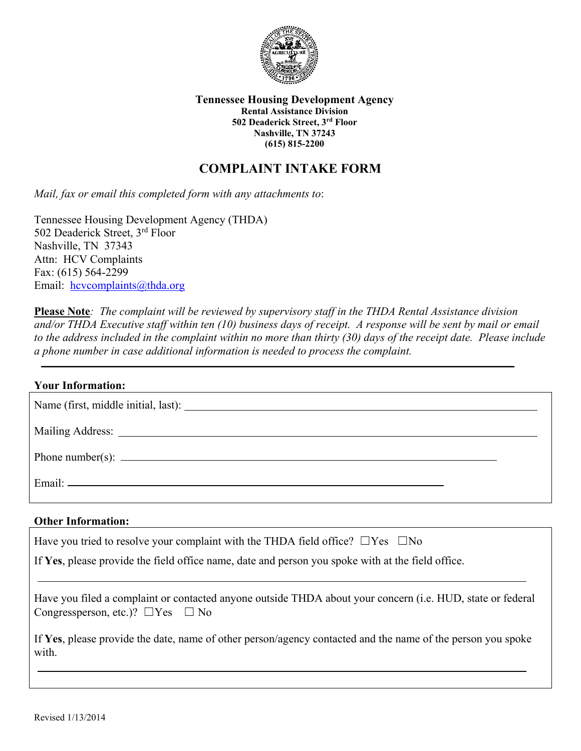

**Tennessee Housing Development Agency Rental Assistance Division 502 Deaderick Street, 3rd Floor Nashville, TN 37243 (615) 815-2200**

## **COMPLAINT INTAKE FORM**

*Mail, fax or email this completed form with any attachments to*:

Tennessee Housing Development Agency (THDA) 502 Deaderick Street, 3rd Floor Nashville, TN 37343 Attn: HCV Complaints Fax: (615) 564-2299 Email: [hcvcomplaints@thda.org](mailto:hcvcomplaints@thda.org)

**Please Note***: The complaint will be reviewed by supervisory staff in the THDA Rental Assistance division and/or THDA Executive staff within ten (10) business days of receipt. A response will be sent by mail or email to the address included in the complaint within no more than thirty (30) days of the receipt date. Please include a phone number in case additional information is needed to process the complaint.*

| <b>Your Information:</b>         |  |
|----------------------------------|--|
|                                  |  |
|                                  |  |
| Phone number(s): $\qquad \qquad$ |  |
|                                  |  |

## **Other Information:**

| Have you tried to resolve your complaint with the THDA field office? $\square$ Yes $\square$ No<br>If Yes, please provide the field office name, date and person you spoke with at the field office. |
|------------------------------------------------------------------------------------------------------------------------------------------------------------------------------------------------------|
| Have you filed a complaint or contacted anyone outside THDA about your concern (i.e. HUD, state or federal<br>Congressperson, etc.)? $\Box$ Yes $\Box$ No                                            |
| If Yes, please provide the date, name of other person/agency contacted and the name of the person you spoke<br>with.                                                                                 |